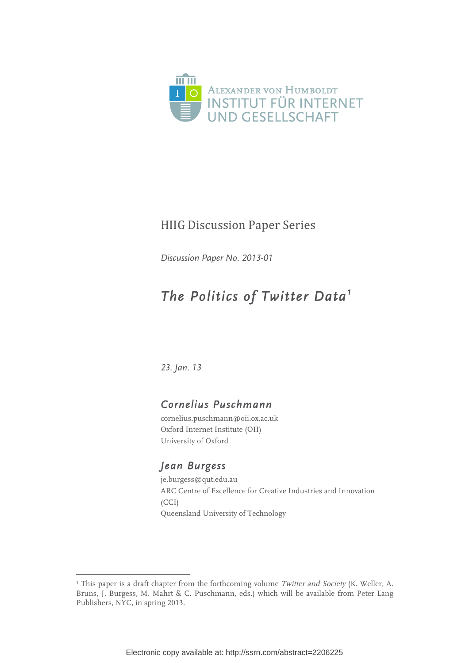

### **HIIG Discussion Paper Series**

*Discussion Paper No. 2013-01*

# *The Politics of Twitter Data <sup>1</sup>*

*23. Jan. 13*

#### *Cornelius Puschmann*

cornelius.puschmann@oii.ox.ac.uk Oxford Internet Institute (OII) University of Oxford

### *Jean Burgess*

je.burgess@qut.edu.au ARC Centre of Excellence for Creative Industries and Innovation (CCI) Queensland University of Technology

<sup>&</sup>lt;sup>1</sup> This paper is a draft chapter from the forthcoming volume *Twitter and Society* (K. Weller, A. Bruns, J. Burgess, M. Mahrt & C. Puschmann, eds.) which will be available from Peter Lang Publishers, NYC, in spring 2013.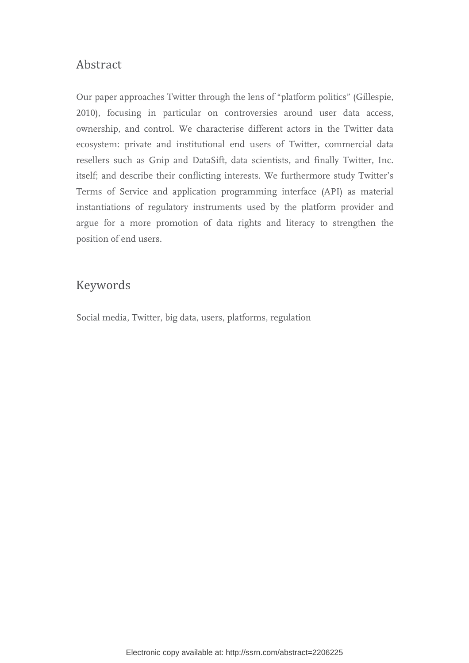#### Abstract

Our paper approaches Twitter through the lens of "platform politics" (Gillespie, 2010), focusing in particular on controversies around user data access, ownership, and control. We characterise different actors in the Twitter data ecosystem: private and institutional end users of Twitter, commercial data resellers such as Gnip and DataSift, data scientists, and finally Twitter, Inc. itself; and describe their conflicting interests. We furthermore study Twitter's Terms of Service and application programming interface (API) as material instantiations of regulatory instruments used by the platform provider and argue for a more promotion of data rights and literacy to strengthen the position of end users.

#### Keywords

Social media, Twitter, big data, users, platforms, regulation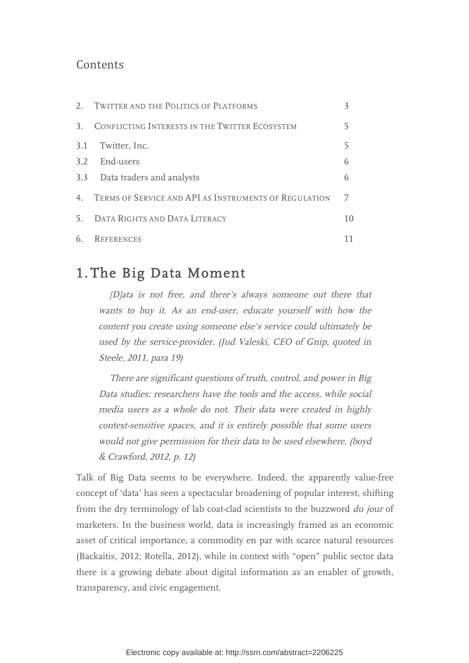#### Contents

|    | 2. TWITTER AND THE POLITICS OF PLATFORMS              |    |
|----|-------------------------------------------------------|----|
| 3. | CONFLICTING INTERESTS IN THE TWITTER ECOSYSTEM        |    |
|    | 3.1 Twitter, Inc.                                     |    |
|    | 3.2 End-users                                         | 6  |
|    | 3.3 Data traders and analysts                         | 6  |
| 4. | TERMS OF SERVICE AND API AS INSTRUMENTS OF REGULATION |    |
| 5. | DATA RIGHTS AND DATA LITERACY                         | 10 |
| 6. | <b>REFERENCES</b>                                     |    |

# 1. The Big Data Moment

[D]ata is not free, and there's always someone out there that wants to buy it. As an end-user, educate yourself with how the content you create using someone else's service could ultimately be used by the service-provider. (Jud Valeski, CEO of Gnip, quoted in Steele, 2011, para 19)

There are significant questions of truth, control, and power in Big Data studies: researchers have the tools and the access, while social media users as a whole do not. Their data were created in highly context-sensitive spaces, and it is entirely possible that some users would not give permission for their data to be used elsewhere. (boyd & Crawford, 2012, p. 12)

Talk of Big Data seems to be everywhere. Indeed, the apparently value-free concept of 'data' has seen a spectacular broadening of popular interest, shifting from the dry terminology of lab coat-clad scientists to the buzzword du jour of marketers. In the business world, data is increasingly framed as an economic asset of critical importance, a commodity en par with scarce natural resources (Backaitis, 2012; Rotella, 2012), while in context with "open" public sector data there is a growing debate about digital information as an enabler of growth, transparency, and civic engagement.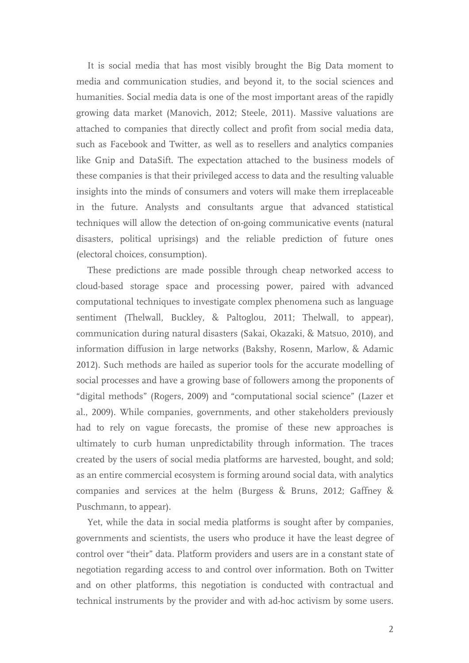It is social media that has most visibly brought the Big Data moment to media and communication studies, and beyond it, to the social sciences and humanities. Social media data is one of the most important areas of the rapidly growing data market (Manovich, 2012; Steele, 2011). Massive valuations are attached to companies that directly collect and profit from social media data, such as Facebook and Twitter, as well as to resellers and analytics companies like Gnip and DataSift. The expectation attached to the business models of these companies is that their privileged access to data and the resulting valuable insights into the minds of consumers and voters will make them irreplaceable in the future. Analysts and consultants argue that advanced statistical techniques will allow the detection of on-going communicative events (natural disasters, political uprisings) and the reliable prediction of future ones (electoral choices, consumption).

These predictions are made possible through cheap networked access to cloud-based storage space and processing power, paired with advanced computational techniques to investigate complex phenomena such as language sentiment (Thelwall, Buckley, & Paltoglou, 2011; Thelwall, to appear), communication during natural disasters (Sakai, Okazaki, & Matsuo, 2010), and information diffusion in large networks (Bakshy, Rosenn, Marlow, & Adamic 2012). Such methods are hailed as superior tools for the accurate modelling of social processes and have a growing base of followers among the proponents of "digital methods" (Rogers, 2009) and "computational social science" (Lazer et al., 2009). While companies, governments, and other stakeholders previously had to rely on vague forecasts, the promise of these new approaches is ultimately to curb human unpredictability through information. The traces created by the users of social media platforms are harvested, bought, and sold; as an entire commercial ecosystem is forming around social data, with analytics companies and services at the helm (Burgess & Bruns, 2012; Gaffney & Puschmann, to appear).

Yet, while the data in social media platforms is sought after by companies, governments and scientists, the users who produce it have the least degree of control over "their" data. Platform providers and users are in a constant state of negotiation regarding access to and control over information. Both on Twitter and on other platforms, this negotiation is conducted with contractual and technical instruments by the provider and with ad-hoc activism by some users.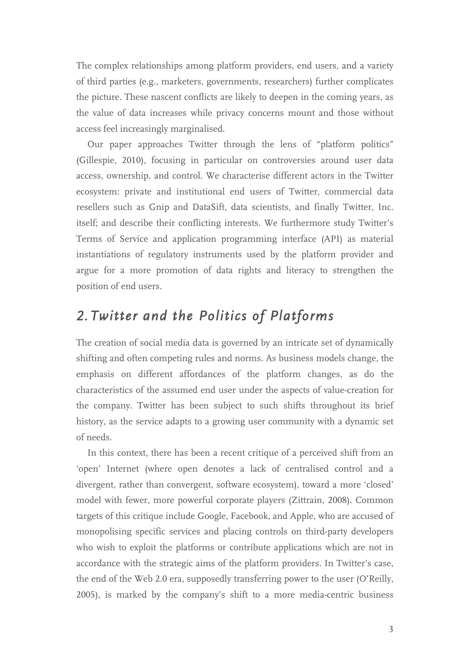The complex relationships among platform providers, end users, and a variety of third parties (e.g., marketers, governments, researchers) further complicates the picture. These nascent conflicts are likely to deepen in the coming years, as the value of data increases while privacy concerns mount and those without access feel increasingly marginalised.

Our paper approaches Twitter through the lens of "platform politics" (Gillespie, 2010), focusing in particular on controversies around user data access, ownership, and control. We characterise different actors in the Twitter ecosystem: private and institutional end users of Twitter, commercial data resellers such as Gnip and DataSift, data scientists, and finally Twitter, Inc. itself; and describe their conflicting interests. We furthermore study Twitter's Terms of Service and application programming interface (API) as material instantiations of regulatory instruments used by the platform provider and argue for a more promotion of data rights and literacy to strengthen the position of end users.

# *2. Twitter and the Politics of Platforms*

The creation of social media data is governed by an intricate set of dynamically shifting and often competing rules and norms. As business models change, the emphasis on different affordances of the platform changes, as do the characteristics of the assumed end user under the aspects of value-creation for the company. Twitter has been subject to such shifts throughout its brief history, as the service adapts to a growing user community with a dynamic set of needs.

In this context, there has been a recent critique of a perceived shift from an 'open' Internet (where open denotes a lack of centralised control and a divergent, rather than convergent, software ecosystem), toward a more 'closed' model with fewer, more powerful corporate players (Zittrain, 2008). Common targets of this critique include Google, Facebook, and Apple, who are accused of monopolising specific services and placing controls on third-party developers who wish to exploit the platforms or contribute applications which are not in accordance with the strategic aims of the platform providers. In Twitter's case, the end of the Web 2.0 era, supposedly transferring power to the user (O'Reilly, 2005), is marked by the company's shift to a more media-centric business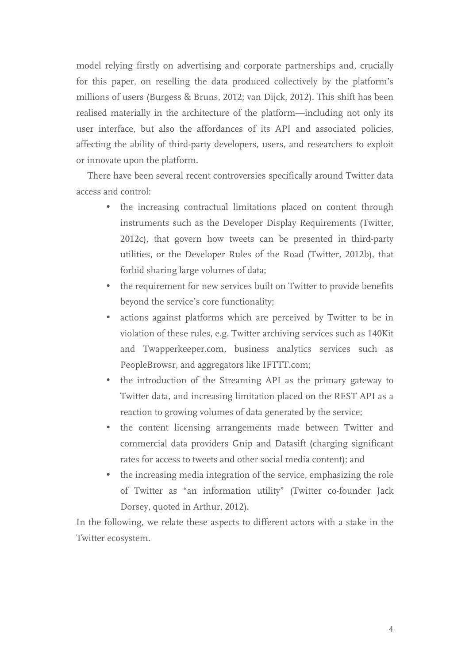model relying firstly on advertising and corporate partnerships and, crucially for this paper, on reselling the data produced collectively by the platform's millions of users (Burgess & Bruns, 2012; van Dijck, 2012). This shift has been realised materially in the architecture of the platform—including not only its user interface, but also the affordances of its API and associated policies, affecting the ability of third-party developers, users, and researchers to exploit or innovate upon the platform.

There have been several recent controversies specifically around Twitter data access and control:

- the increasing contractual limitations placed on content through instruments such as the Developer Display Requirements (Twitter, 2012c), that govern how tweets can be presented in third-party utilities, or the Developer Rules of the Road (Twitter, 2012b), that forbid sharing large volumes of data;
- the requirement for new services built on Twitter to provide benefits beyond the service's core functionality;
- actions against platforms which are perceived by Twitter to be in violation of these rules, e.g. Twitter archiving services such as 140Kit and Twapperkeeper.com, business analytics services such as PeopleBrowsr, and aggregators like IFTTT.com;
- the introduction of the Streaming API as the primary gateway to Twitter data, and increasing limitation placed on the REST API as a reaction to growing volumes of data generated by the service;
- the content licensing arrangements made between Twitter and commercial data providers Gnip and Datasift (charging significant rates for access to tweets and other social media content); and
- the increasing media integration of the service, emphasizing the role of Twitter as "an information utility" (Twitter co-founder Jack Dorsey, quoted in Arthur, 2012).

In the following, we relate these aspects to different actors with a stake in the Twitter ecosystem.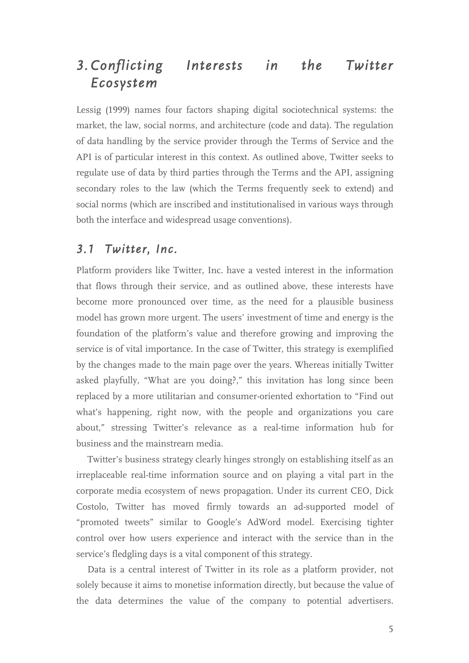# *3. Conflicting Interests in the Twitter Ecosystem*

Lessig (1999) names four factors shaping digital sociotechnical systems: the market, the law, social norms, and architecture (code and data). The regulation of data handling by the service provider through the Terms of Service and the API is of particular interest in this context. As outlined above, Twitter seeks to regulate use of data by third parties through the Terms and the API, assigning secondary roles to the law (which the Terms frequently seek to extend) and social norms (which are inscribed and institutionalised in various ways through both the interface and widespread usage conventions).

### *3.1 Twitter, Inc.*

Platform providers like Twitter, Inc. have a vested interest in the information that flows through their service, and as outlined above, these interests have become more pronounced over time, as the need for a plausible business model has grown more urgent. The users' investment of time and energy is the foundation of the platform's value and therefore growing and improving the service is of vital importance. In the case of Twitter, this strategy is exemplified by the changes made to the main page over the years. Whereas initially Twitter asked playfully, "What are you doing?," this invitation has long since been replaced by a more utilitarian and consumer-oriented exhortation to "Find out what's happening, right now, with the people and organizations you care about," stressing Twitter's relevance as a real-time information hub for business and the mainstream media.

Twitter's business strategy clearly hinges strongly on establishing itself as an irreplaceable real-time information source and on playing a vital part in the corporate media ecosystem of news propagation. Under its current CEO, Dick Costolo, Twitter has moved firmly towards an ad-supported model of "promoted tweets" similar to Google's AdWord model. Exercising tighter control over how users experience and interact with the service than in the service's fledgling days is a vital component of this strategy.

Data is a central interest of Twitter in its role as a platform provider, not solely because it aims to monetise information directly, but because the value of the data determines the value of the company to potential advertisers.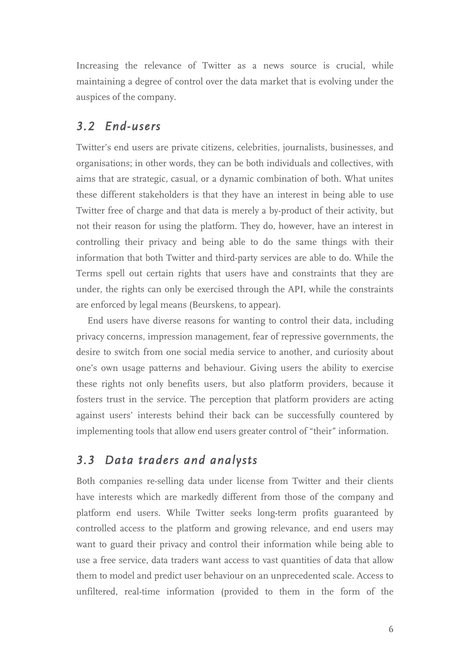Increasing the relevance of Twitter as a news source is crucial, while maintaining a degree of control over the data market that is evolving under the auspices of the company.

### *3.2 End-users*

Twitter's end users are private citizens, celebrities, journalists, businesses, and organisations; in other words, they can be both individuals and collectives, with aims that are strategic, casual, or a dynamic combination of both. What unites these different stakeholders is that they have an interest in being able to use Twitter free of charge and that data is merely a by-product of their activity, but not their reason for using the platform. They do, however, have an interest in controlling their privacy and being able to do the same things with their information that both Twitter and third-party services are able to do. While the Terms spell out certain rights that users have and constraints that they are under, the rights can only be exercised through the API, while the constraints are enforced by legal means (Beurskens, to appear).

End users have diverse reasons for wanting to control their data, including privacy concerns, impression management, fear of repressive governments, the desire to switch from one social media service to another, and curiosity about one's own usage patterns and behaviour. Giving users the ability to exercise these rights not only benefits users, but also platform providers, because it fosters trust in the service. The perception that platform providers are acting against users' interests behind their back can be successfully countered by implementing tools that allow end users greater control of "their" information.

## *3.3 Data traders and analysts*

Both companies re-selling data under license from Twitter and their clients have interests which are markedly different from those of the company and platform end users. While Twitter seeks long-term profits guaranteed by controlled access to the platform and growing relevance, and end users may want to guard their privacy and control their information while being able to use a free service, data traders want access to vast quantities of data that allow them to model and predict user behaviour on an unprecedented scale. Access to unfiltered, real-time information (provided to them in the form of the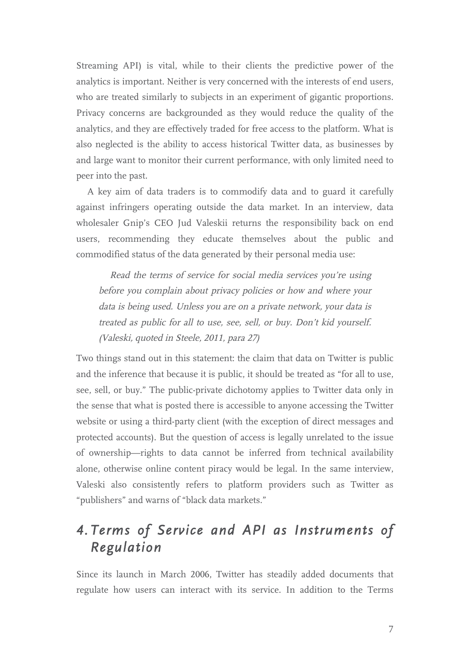Streaming API) is vital, while to their clients the predictive power of the analytics is important. Neither is very concerned with the interests of end users, who are treated similarly to subjects in an experiment of gigantic proportions. Privacy concerns are backgrounded as they would reduce the quality of the analytics, and they are effectively traded for free access to the platform. What is also neglected is the ability to access historical Twitter data, as businesses by and large want to monitor their current performance, with only limited need to peer into the past.

A key aim of data traders is to commodify data and to guard it carefully against infringers operating outside the data market. In an interview, data wholesaler Gnip's CEO Jud Valeskii returns the responsibility back on end users, recommending they educate themselves about the public and commodified status of the data generated by their personal media use:

Read the terms of service for social media services you're using before you complain about privacy policies or how and where your data is being used. Unless you are on a private network, your data is treated as public for all to use, see, sell, or buy. Don't kid yourself. (Valeski, quoted in Steele, 2011, para 27)

Two things stand out in this statement: the claim that data on Twitter is public and the inference that because it is public, it should be treated as "for all to use, see, sell, or buy." The public-private dichotomy applies to Twitter data only in the sense that what is posted there is accessible to anyone accessing the Twitter website or using a third-party client (with the exception of direct messages and protected accounts). But the question of access is legally unrelated to the issue of ownership—rights to data cannot be inferred from technical availability alone, otherwise online content piracy would be legal. In the same interview, Valeski also consistently refers to platform providers such as Twitter as "publishers" and warns of "black data markets."

# *4. Terms of Service and API as Instruments of Regulation*

Since its launch in March 2006, Twitter has steadily added documents that regulate how users can interact with its service. In addition to the Terms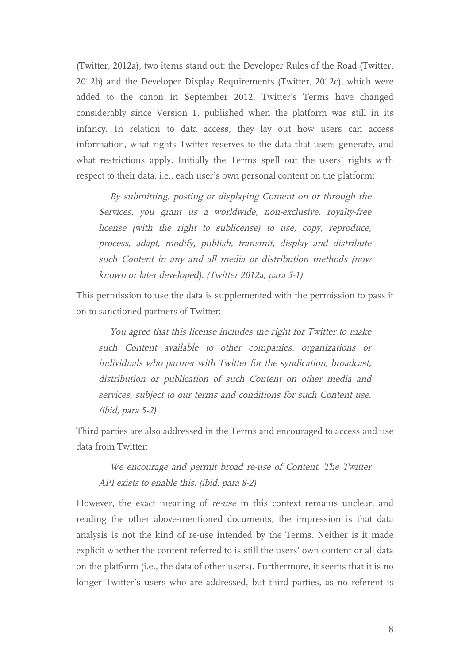(Twitter, 2012a), two items stand out: the Developer Rules of the Road (Twitter, 2012b) and the Developer Display Requirements (Twitter, 2012c), which were added to the canon in September 2012. Twitter's Terms have changed considerably since Version 1, published when the platform was still in its infancy. In relation to data access, they lay out how users can access information, what rights Twitter reserves to the data that users generate, and what restrictions apply. Initially the Terms spell out the users' rights with respect to their data, i.e., each user's own personal content on the platform:

By submitting, posting or displaying Content on or through the Services, you grant us a worldwide, non-exclusive, royalty-free license (with the right to sublicense) to use, copy, reproduce, process, adapt, modify, publish, transmit, display and distribute such Content in any and all media or distribution methods (now known or later developed). (Twitter 2012a, para 5-1)

This permission to use the data is supplemented with the permission to pass it on to sanctioned partners of Twitter:

You agree that this license includes the right for Twitter to make such Content available to other companies, organizations or individuals who partner with Twitter for the syndication, broadcast, distribution or publication of such Content on other media and services, subject to our terms and conditions for such Content use. (ibid, para 5-2)

Third parties are also addressed in the Terms and encouraged to access and use data from Twitter:

We encourage and permit broad re-use of Content. The Twitter API exists to enable this. (ibid, para 8-2)

However, the exact meaning of re-use in this context remains unclear, and reading the other above-mentioned documents, the impression is that data analysis is not the kind of re-use intended by the Terms. Neither is it made explicit whether the content referred to is still the users' own content or all data on the platform (i.e., the data of other users). Furthermore, it seems that it is no longer Twitter's users who are addressed, but third parties, as no referent is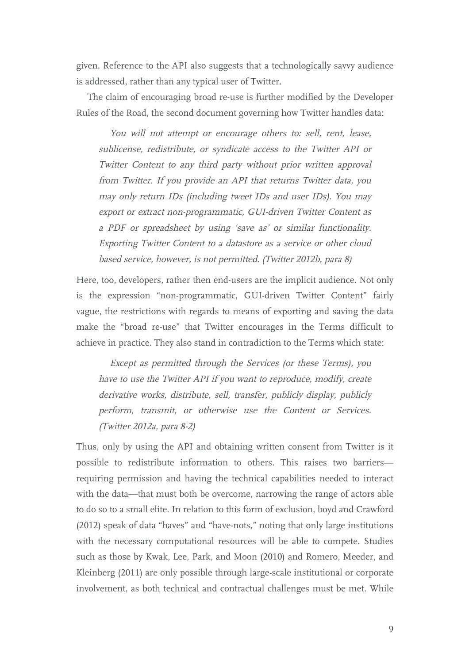given. Reference to the API also suggests that a technologically savvy audience is addressed, rather than any typical user of Twitter.

The claim of encouraging broad re-use is further modified by the Developer Rules of the Road, the second document governing how Twitter handles data:

You will not attempt or encourage others to: sell, rent, lease, sublicense, redistribute, or syndicate access to the Twitter API or Twitter Content to any third party without prior written approval from Twitter. If you provide an API that returns Twitter data, you may only return IDs (including tweet IDs and user IDs). You may export or extract non-programmatic, GUI-driven Twitter Content as a PDF or spreadsheet by using 'save as' or similar functionality. Exporting Twitter Content to a datastore as a service or other cloud based service, however, is not permitted. (Twitter 2012b, para 8)

Here, too, developers, rather then end-users are the implicit audience. Not only is the expression "non-programmatic, GUI-driven Twitter Content" fairly vague, the restrictions with regards to means of exporting and saving the data make the "broad re-use" that Twitter encourages in the Terms difficult to achieve in practice. They also stand in contradiction to the Terms which state:

Except as permitted through the Services (or these Terms), you have to use the Twitter API if you want to reproduce, modify, create derivative works, distribute, sell, transfer, publicly display, publicly perform, transmit, or otherwise use the Content or Services. (Twitter 2012a, para 8-2)

Thus, only by using the API and obtaining written consent from Twitter is it possible to redistribute information to others. This raises two barriers requiring permission and having the technical capabilities needed to interact with the data—that must both be overcome, narrowing the range of actors able to do so to a small elite. In relation to this form of exclusion, boyd and Crawford (2012) speak of data "haves" and "have-nots," noting that only large institutions with the necessary computational resources will be able to compete. Studies such as those by Kwak, Lee, Park, and Moon (2010) and Romero, Meeder, and Kleinberg (2011) are only possible through large-scale institutional or corporate involvement, as both technical and contractual challenges must be met. While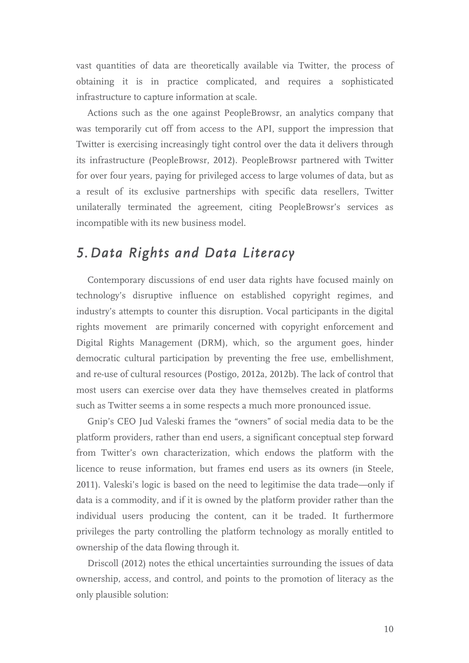vast quantities of data are theoretically available via Twitter, the process of obtaining it is in practice complicated, and requires a sophisticated infrastructure to capture information at scale.

Actions such as the one against PeopleBrowsr, an analytics company that was temporarily cut off from access to the API, support the impression that Twitter is exercising increasingly tight control over the data it delivers through its infrastructure (PeopleBrowsr, 2012). PeopleBrowsr partnered with Twitter for over four years, paying for privileged access to large volumes of data, but as a result of its exclusive partnerships with specific data resellers, Twitter unilaterally terminated the agreement, citing PeopleBrowsr's services as incompatible with its new business model.

## *5. Data Rights and Data Literacy*

Contemporary discussions of end user data rights have focused mainly on technology's disruptive influence on established copyright regimes, and industry's attempts to counter this disruption. Vocal participants in the digital rights movement are primarily concerned with copyright enforcement and Digital Rights Management (DRM), which, so the argument goes, hinder democratic cultural participation by preventing the free use, embellishment, and re-use of cultural resources (Postigo, 2012a, 2012b). The lack of control that most users can exercise over data they have themselves created in platforms such as Twitter seems a in some respects a much more pronounced issue.

Gnip's CEO Jud Valeski frames the "owners" of social media data to be the platform providers, rather than end users, a significant conceptual step forward from Twitter's own characterization, which endows the platform with the licence to reuse information, but frames end users as its owners (in Steele, 2011). Valeski's logic is based on the need to legitimise the data trade—only if data is a commodity, and if it is owned by the platform provider rather than the individual users producing the content, can it be traded. It furthermore privileges the party controlling the platform technology as morally entitled to ownership of the data flowing through it.

Driscoll (2012) notes the ethical uncertainties surrounding the issues of data ownership, access, and control, and points to the promotion of literacy as the only plausible solution: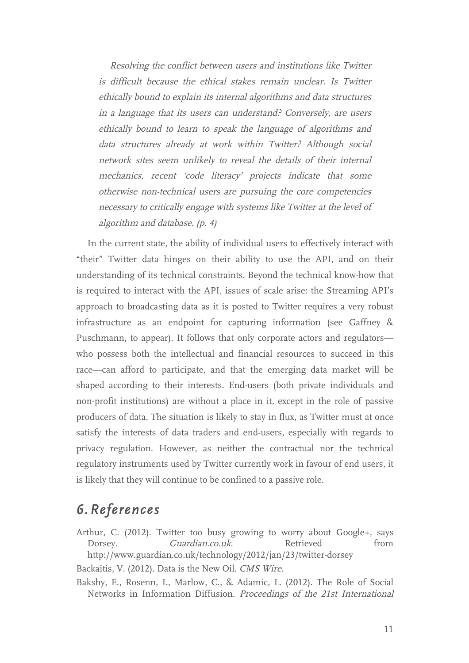Resolving the conflict between users and institutions like Twitter is difficult because the ethical stakes remain unclear. Is Twitter ethically bound to explain its internal algorithms and data structures in a language that its users can understand? Conversely, are users ethically bound to learn to speak the language of algorithms and data structures already at work within Twitter? Although social network sites seem unlikely to reveal the details of their internal mechanics, recent 'code literacy' projects indicate that some otherwise non-technical users are pursuing the core competencies necessary to critically engage with systems like Twitter at the level of algorithm and database. (p. 4)

In the current state, the ability of individual users to effectively interact with "their" Twitter data hinges on their ability to use the API, and on their understanding of its technical constraints. Beyond the technical know-how that is required to interact with the API, issues of scale arise: the Streaming API's approach to broadcasting data as it is posted to Twitter requires a very robust infrastructure as an endpoint for capturing information (see Gaffney & Puschmann, to appear). It follows that only corporate actors and regulators who possess both the intellectual and financial resources to succeed in this race—can afford to participate, and that the emerging data market will be shaped according to their interests. End-users (both private individuals and non-profit institutions) are without a place in it, except in the role of passive producers of data. The situation is likely to stay in flux, as Twitter must at once satisfy the interests of data traders and end-users, especially with regards to privacy regulation. However, as neither the contractual nor the technical regulatory instruments used by Twitter currently work in favour of end users, it is likely that they will continue to be confined to a passive role.

# *6. References*

Arthur, C. (2012). Twitter too busy growing to worry about Google+, says Dorsey. Guardian.co.uk. Retrieved from http://www.guardian.co.uk/technology/2012/jan/23/twitter-dorsey

Backaitis, V. (2012). Data is the New Oil. CMS Wire.

Bakshy, E., Rosenn, I., Marlow, C., & Adamic, L. (2012). The Role of Social Networks in Information Diffusion. Proceedings of the 21st International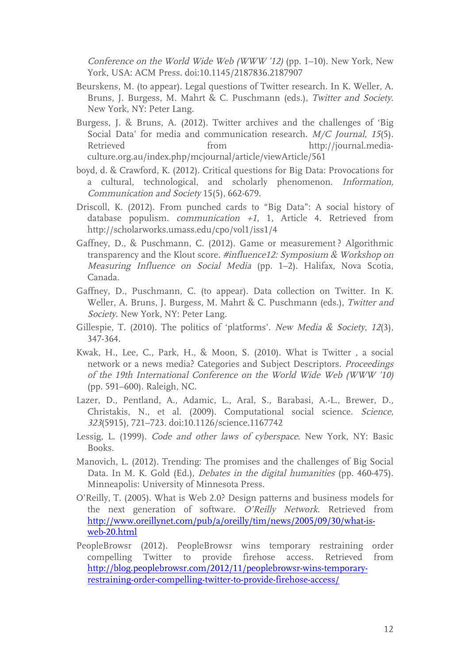Conference on the World Wide Web (WWW '12) (pp. 1–10). New York, New York, USA: ACM Press. doi:10.1145/2187836.2187907

- Beurskens, M. (to appear). Legal questions of Twitter research. In K. Weller, A. Bruns, J. Burgess, M. Mahrt & C. Puschmann (eds.), Twitter and Society. New York, NY: Peter Lang.
- Burgess, J. & Bruns, A. (2012). Twitter archives and the challenges of 'Big Social Data' for media and communication research. M/C Journal, 15(5). Retrieved from http://journal.mediaculture.org.au/index.php/mcjournal/article/viewArticle/561
- boyd, d. & Crawford, K. (2012). Critical questions for Big Data: Provocations for a cultural, technological, and scholarly phenomenon. Information, Communication and Society 15(5), 662-679.
- Driscoll, K. (2012). From punched cards to "Big Data": A social history of database populism. *communication*  $+1$ , 1, Article 4. Retrieved from http://scholarworks.umass.edu/cpo/vol1/iss1/4
- Gaffney, D., & Puschmann, C. (2012). Game or measurement ? Algorithmic transparency and the Klout score. #influence12: Symposium & Workshop on Measuring Influence on Social Media (pp. 1–2). Halifax, Nova Scotia, Canada.
- Gaffney, D., Puschmann, C. (to appear). Data collection on Twitter. In K. Weller, A. Bruns, J. Burgess, M. Mahrt & C. Puschmann (eds.), Twitter and Society. New York, NY: Peter Lang.
- Gillespie, T. (2010). The politics of 'platforms'. New Media & Society, 12(3), 347-364.
- Kwak, H., Lee, C., Park, H., & Moon, S. (2010). What is Twitter , a social network or a news media? Categories and Subject Descriptors. Proceedings of the 19th International Conference on the World Wide Web (WWW '10) (pp. 591–600). Raleigh, NC.
- Lazer, D., Pentland, A., Adamic, L., Aral, S., Barabasi, A.-L., Brewer, D., Christakis, N., et al. (2009). Computational social science. Science, <sup>323</sup>(5915), 721–723. doi:10.1126/science.1167742
- Lessig, L. (1999). Code and other laws of cyberspace. New York, NY: Basic Books.
- Manovich, L. (2012). Trending: The promises and the challenges of Big Social Data. In M. K. Gold (Ed.), Debates in the digital humanities (pp. 460-475). Minneapolis: University of Minnesota Press.
- O'Reilly, T. (2005). What is Web 2.0? Design patterns and business models for the next generation of software. O'Reilly Network. Retrieved from http://www.oreillynet.com/pub/a/oreilly/tim/news/2005/09/30/what-isweb-20.html
- PeopleBrowsr (2012). PeopleBrowsr wins temporary restraining order compelling Twitter to provide firehose access. Retrieved from http://blog.peoplebrowsr.com/2012/11/peoplebrowsr-wins-temporaryrestraining-order-compelling-twitter-to-provide-firehose-access/